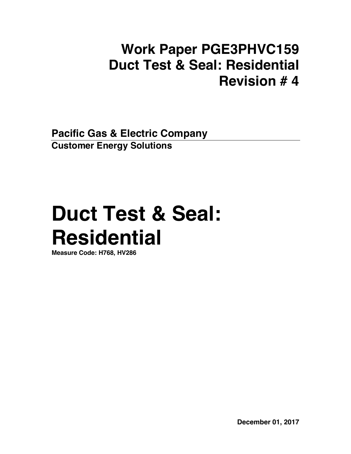## **Work Paper PGE3PHVC159 Duct Test & Seal: Residential Revision # 4**

**Pacific Gas & Electric Company Customer Energy Solutions** 

# **Duct Test & Seal: Residential**

**Measure Code: H768, HV286**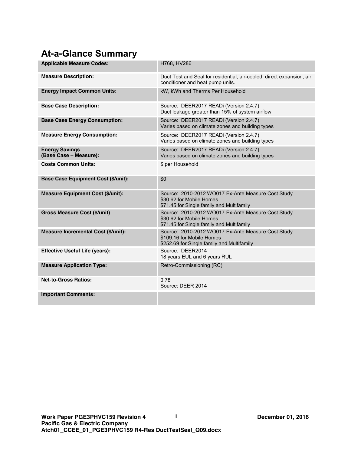## **At-a-Glance Summary**

| <b>Applicable Measure Codes:</b>                | H768, HV286                                                                                                                   |
|-------------------------------------------------|-------------------------------------------------------------------------------------------------------------------------------|
| <b>Measure Description:</b>                     | Duct Test and Seal for residential, air-cooled, direct expansion, air<br>conditioner and heat pump units.                     |
| <b>Energy Impact Common Units:</b>              | kW, kWh and Therms Per Household                                                                                              |
| <b>Base Case Description:</b>                   | Source: DEER2017 READi (Version 2.4.7)<br>Duct leakage greater than 15% of system airflow.                                    |
| <b>Base Case Energy Consumption:</b>            | Source: DEER2017 READi (Version 2.4.7)<br>Varies based on climate zones and building types                                    |
| <b>Measure Energy Consumption:</b>              | Source: DEER2017 READi (Version 2.4.7)<br>Varies based on climate zones and building types                                    |
| <b>Energy Savings</b><br>(Base Case - Measure): | Source: DEER2017 READi (Version 2.4.7)<br>Varies based on climate zones and building types                                    |
| <b>Costs Common Units:</b>                      | \$ per Household                                                                                                              |
| <b>Base Case Equipment Cost (\$/unit):</b>      | \$0                                                                                                                           |
| <b>Measure Equipment Cost (\$/unit):</b>        | Source: 2010-2012 WO017 Ex-Ante Measure Cost Study<br>\$30.62 for Mobile Homes<br>\$71.45 for Single family and Multifamily   |
| <b>Gross Measure Cost (\$/unit)</b>             | Source: 2010-2012 WO017 Ex-Ante Measure Cost Study<br>\$30.62 for Mobile Homes<br>\$71.45 for Single family and Multifamily   |
| Measure Incremental Cost (\$/unit):             | Source: 2010-2012 WO017 Ex-Ante Measure Cost Study<br>\$109.16 for Mobile Homes<br>\$252.69 for Single family and Multifamily |
| <b>Effective Useful Life (years):</b>           | Source: DEER2014<br>18 years EUL and 6 years RUL                                                                              |
| <b>Measure Application Type:</b>                | Retro-Commissioning (RC)                                                                                                      |
| <b>Net-to-Gross Ratios:</b>                     | 0.78<br>Source: DFFR 2014                                                                                                     |
| <b>Important Comments:</b>                      |                                                                                                                               |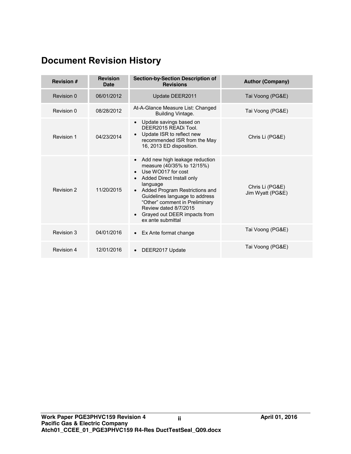## **Document Revision History**

| <b>Revision #</b> | <b>Revision</b><br>Date | <b>Section-by-Section Description of</b><br><b>Revisions</b>                                                                                                                                                                                                                                                    | <b>Author (Company)</b>             |
|-------------------|-------------------------|-----------------------------------------------------------------------------------------------------------------------------------------------------------------------------------------------------------------------------------------------------------------------------------------------------------------|-------------------------------------|
| Revision 0        | 06/01/2012              | Update DEER2011                                                                                                                                                                                                                                                                                                 | Tai Voong (PG&E)                    |
| Revision 0        | 08/28/2012              | At-A-Glance Measure List: Changed<br>Building Vintage.                                                                                                                                                                                                                                                          | Tai Voong (PG&E)                    |
| Revision 1        | 04/23/2014              | Update savings based on<br>DEER2015 READI Tool.<br>Update ISR to reflect new<br>recommended ISR from the May<br>16, 2013 ED disposition.                                                                                                                                                                        | Chris Li (PG&E)                     |
| Revision 2        | 11/20/2015              | Add new high leakage reduction<br>measure (40/35% to 12/15%)<br>Use WO017 for cost<br>Added Direct Install only<br>language<br>Added Program Restrictions and<br>Guidelines language to address<br>"Other" comment in Preliminary<br>Review dated 8/7/2015<br>Grayed out DEER impacts from<br>ex ante submittal | Chris Li (PG&E)<br>Jim Wyatt (PG&E) |
| Revision 3        | 04/01/2016              | • Ex Ante format change                                                                                                                                                                                                                                                                                         | Tai Voong (PG&E)                    |
| <b>Revision 4</b> | 12/01/2016              | DEER2017 Update                                                                                                                                                                                                                                                                                                 | Tai Voong (PG&E)                    |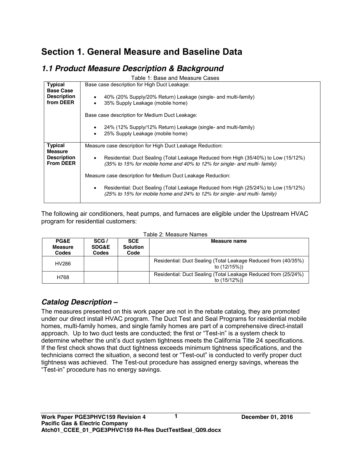## **Section 1. General Measure and Baseline Data**

## *1.1 Product Measure Description & Background*

| Table 1: Base and Measure Cases      |                                                                                                                                                                 |  |  |  |  |
|--------------------------------------|-----------------------------------------------------------------------------------------------------------------------------------------------------------------|--|--|--|--|
| <b>Typical</b>                       | Base case description for High Duct Leakage:                                                                                                                    |  |  |  |  |
| <b>Base Case</b>                     |                                                                                                                                                                 |  |  |  |  |
| <b>Description</b><br>from DEER      | 40% (20% Supply/20% Return) Leakage (single- and multi-family)                                                                                                  |  |  |  |  |
|                                      | 35% Supply Leakage (mobile home)<br>$\bullet$                                                                                                                   |  |  |  |  |
|                                      | Base case description for Medium Duct Leakage:                                                                                                                  |  |  |  |  |
|                                      | 24% (12% Supply/12% Return) Leakage (single- and multi-family)                                                                                                  |  |  |  |  |
|                                      | 25% Supply Leakage (mobile home)<br>$\bullet$                                                                                                                   |  |  |  |  |
|                                      |                                                                                                                                                                 |  |  |  |  |
| <b>Typical</b>                       | Measure case description for High Duct Leakage Reduction:                                                                                                       |  |  |  |  |
| <b>Measure</b><br><b>Description</b> | Residential: Duct Sealing (Total Leakage Reduced from High (35/40%) to Low (15/12%)<br>$\bullet$                                                                |  |  |  |  |
| <b>From DEER</b>                     | (35% to 15% for mobile home and 40% to 12% for single- and multi- family)                                                                                       |  |  |  |  |
|                                      | Measure case description for Medium Duct Leakage Reduction:                                                                                                     |  |  |  |  |
|                                      | Residential: Duct Sealing (Total Leakage Reduced from High (25/24%) to Low (15/12%)<br>(25% to 15% for mobile home and 24% to 12% for single- and multi-family) |  |  |  |  |

The following air conditioners, heat pumps, and furnaces are eligible under the Upstream HVAC program for residential customers:

| PG&E<br><b>Measure</b><br>Codes | SCG/<br><b>SDG&amp;E</b><br>Codes | <b>SCE</b><br><b>Solution</b><br>Code | Measure name                                                                    |
|---------------------------------|-----------------------------------|---------------------------------------|---------------------------------------------------------------------------------|
| HV286                           |                                   |                                       | Residential: Duct Sealing (Total Leakage Reduced from (40/35%)<br>to $(12/15%)$ |
| H768                            |                                   |                                       | Residential: Duct Sealing (Total Leakage Reduced from (25/24%)<br>to $(15/12%)$ |

#### Table 2: Measure Names

#### *Catalog Description –*

The measures presented on this work paper are not in the rebate catalog, they are promoted under our direct install HVAC program. The Duct Test and Seal Programs for residential mobile homes, multi-family homes, and single family homes are part of a comprehensive direct-install approach. Up to two duct tests are conducted; the first or "Test-in" is a system check to determine whether the unit's duct system tightness meets the California Title 24 specifications. If the first check shows that duct tightness exceeds minimum tightness specifications, and the technicians correct the situation, a second test or "Test-out" is conducted to verify proper duct tightness was achieved. The Test-out procedure has assigned energy savings, whereas the "Test-in" procedure has no energy savings.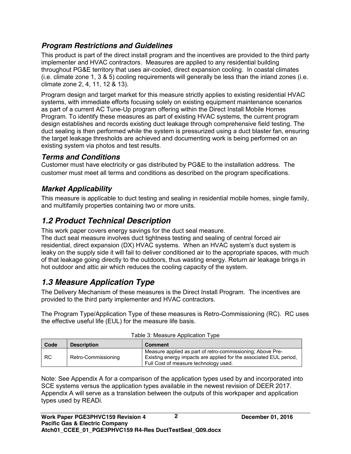## *Program Restrictions and Guidelines*

This product is part of the direct install program and the incentives are provided to the third party implementer and HVAC contractors. Measures are applied to any residential building throughout PG&E territory that uses air-cooled, direct expansion cooling. In coastal climates (i.e. climate zone 1, 3 & 5) cooling requirements will generally be less than the inland zones (i.e. climate zone 2, 4, 11, 12 & 13).

Program design and target market for this measure strictly applies to existing residential HVAC systems, with immediate efforts focusing solely on existing equipment maintenance scenarios as part of a current AC Tune-Up program offering within the Direct Install Mobile Homes Program. To identify these measures as part of existing HVAC systems, the current program design establishes and records existing duct leakage through comprehensive field testing. The duct sealing is then performed while the system is pressurized using a duct blaster fan, ensuring the target leakage thresholds are achieved and documenting work is being performed on an existing system via photos and test results.

## *Terms and Conditions*

Customer must have electricity or gas distributed by PG&E to the installation address. The customer must meet all terms and conditions as described on the program specifications.

## *Market Applicability*

This measure is applicable to duct testing and sealing in residential mobile homes, single family, and multifamily properties containing two or more units.

## *1.2 Product Technical Description*

This work paper covers energy savings for the duct seal measure.

The duct seal measure involves duct tightness testing and sealing of central forced air residential, direct expansion (DX) HVAC systems. When an HVAC system's duct system is leaky on the supply side it will fail to deliver conditioned air to the appropriate spaces, with much of that leakage going directly to the outdoors, thus wasting energy. Return air leakage brings in hot outdoor and attic air which reduces the cooling capacity of the system.

## *1.3 Measure Application Type*

The Delivery Mechanism of these measures is the Direct Install Program. The incentives are provided to the third party implementer and HVAC contractors.

The Program Type/Application Type of these measures is Retro-Commissioning (RC). RC uses the effective useful life (EUL) for the measure life basis.

| rabic of micasure Application Type<br>Code<br><b>Description</b><br><b>Comment</b> |                     |                                                                                                                                                                           |  |
|------------------------------------------------------------------------------------|---------------------|---------------------------------------------------------------------------------------------------------------------------------------------------------------------------|--|
| <b>RC</b>                                                                          | Retro-Commissioning | Measure applied as part of retro-commissioning; Above Pre-<br>Existing energy impacts are applied for the associated EUL period.<br>Full Cost of measure technology used. |  |

|  | Table 3: Measure Application Type |  |
|--|-----------------------------------|--|
|  |                                   |  |

Note: See Appendix A for a comparison of the application types used by and incorporated into SCE systems versus the application types available in the newest revision of DEER 2017. Appendix A will serve as a translation between the outputs of this workpaper and application types used by READi.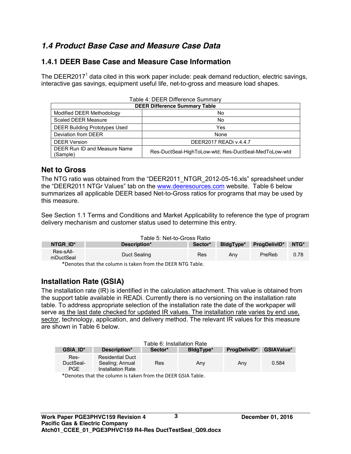## *1.4 Product Base Case and Measure Case Data*

## **1.4.1 DEER Base Case and Measure Case Information**

The DEER2017<sup>1</sup> data cited in this work paper include: peak demand reduction, electric savings, interactive gas savings, equipment useful life, net-to-gross and measure load shapes.

| Table 4: DEER Difference Summary              |                                                       |  |  |  |
|-----------------------------------------------|-------------------------------------------------------|--|--|--|
| <b>DEER Difference Summary Table</b>          |                                                       |  |  |  |
| Modified DEER Methodology<br>No               |                                                       |  |  |  |
| Scaled DEER Measure<br>No.                    |                                                       |  |  |  |
| <b>DEER Building Prototypes Used</b><br>Yes   |                                                       |  |  |  |
| Deviation from DEER<br>None                   |                                                       |  |  |  |
| <b>DEER Version</b><br>DEER2017 READI v.4.4.7 |                                                       |  |  |  |
| DEER Run ID and Measure Name<br>(Sample)      | Res-DuctSeal-HighToLow-wtd; Res-DuctSeal-MedToLow-wtd |  |  |  |

#### **Net to Gross**

The NTG ratio was obtained from the "DEER2011\_NTGR\_2012-05-16.xls" spreadsheet under the "DEER2011 NTGr Values" tab on the www.deeresources.com website. Table 6 below summarizes all applicable DEER based Net-to-Gross ratios for programs that may be used by this measure.

See Section 1.1 Terms and Conditions and Market Applicability to reference the type of program delivery mechanism and customer status used to determine this entry.

|                        | Table 5: Net-to-Gross Ratio                 |            |                  |                          |      |
|------------------------|---------------------------------------------|------------|------------------|--------------------------|------|
| NTGR ID*               | Description*                                | Sector*    | <b>BldgTvpe*</b> | <b>ProgDelivID*</b> NTG* |      |
| Res-sAll-<br>mDuctSeal | Duct Sealing                                | <b>Res</b> | Anv              | PreReb                   | 0.78 |
|                        | $\star$ . I iii iii iii f ii beep almost li |            |                  |                          |      |

\*Denotes that the column is taken from the DEER NTG Table.

## **Installation Rate (GSIA)**

The installation rate (IR) is identified in the calculation attachment. This value is obtained from the support table available in READi. Currently there is no versioning on the installation rate table. To address appropriate selection of the installation rate the date of the workpaper will serve as the last date checked for updated IR values. The installation rate varies by end use, sector, technology, application, and delivery method. The relevant IR values for this measure are shown in Table 6 below.

| Table 6: Installation Rate |                                                                 |         |           |              |                   |  |
|----------------------------|-----------------------------------------------------------------|---------|-----------|--------------|-------------------|--|
| <b>GSIA ID*</b>            | Description*                                                    | Sector* | BidgType* | ProgDelivID* | <b>GSIAValue*</b> |  |
| Res-<br>DuctSeal-<br>PGE   | <b>Residential Duct</b><br>Sealing: Annual<br>Installation Rate | Res     | Any       | Any          | 0.584             |  |
|                            | *Donatos that the column is taken from the DEED CSLA Table      |         |           |              |                   |  |

\*Denotes that the column is taken from the DEER GSIA Table.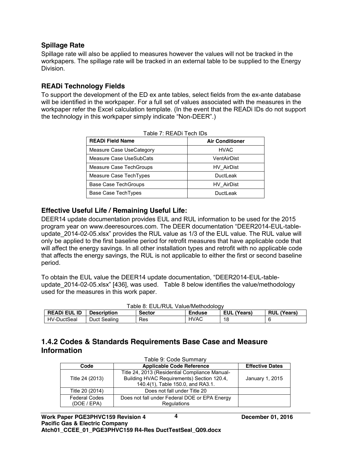#### **Spillage Rate**

Spillage rate will also be applied to measures however the values will not be tracked in the workpapers. The spillage rate will be tracked in an external table to be supplied to the Energy Division.

#### **READi Technology Fields**

To support the development of the ED ex ante tables, select fields from the ex-ante database will be identified in the workpaper. For a full set of values associated with the measures in the workpaper refer the Excel calculation template. (In the event that the READi IDs do not support the technology in this workpaper simply indicate "Non-DEER".)

| <b>READi Field Name</b>     | <b>Air Conditioner</b> |
|-----------------------------|------------------------|
| Measure Case UseCategory    | <b>HVAC</b>            |
| Measure Case UseSubCats     | VentAirDist            |
| Measure Case TechGroups     | HV AirDist             |
| Measure Case TechTypes      | <b>DuctLeak</b>        |
| <b>Base Case TechGroups</b> | HV AirDist             |
| Base Case TechTypes         | DuctLeak               |

Table 7: READi Tech IDs

#### **Effective Useful Life / Remaining Useful Life:**

DEER14 update documentation provides EUL and RUL information to be used for the 2015 program year on www.deeresources.com. The DEER documentation "DEER2014-EUL-tableupdate\_2014-02-05.xlsx" provides the RUL value as 1/3 of the EUL value. The RUL value will only be applied to the first baseline period for retrofit measures that have applicable code that will affect the energy savings. In all other installation types and retrofit with no applicable code that affects the energy savings, the RUL is not applicable to either the first or second baseline period.

To obtain the EUL value the DEER14 update documentation, "DEER2014-EUL-tableupdate 2014-02-05.xlsx" [436], was used. Table 8 below identifies the value/methodology used for the measures in this work paper.

| Table 8: EUL/RUL Value/Methodology |                    |               |               |                    |                    |
|------------------------------------|--------------------|---------------|---------------|--------------------|--------------------|
| <b>READI EUL ID</b>                | <b>Description</b> | <b>Sector</b> | <b>Enduse</b> | <b>EUL (Years)</b> | <b>RUL (Years)</b> |
| HV-DuctSeal                        | Duct Sealing       | Res           | <b>HVAC</b>   | 18                 |                    |

#### **1.4.2 Codes & Standards Requirements Base Case and Measure Information**

| Table 9: Code Summary               |                                                                                                                                   |                 |  |  |
|-------------------------------------|-----------------------------------------------------------------------------------------------------------------------------------|-----------------|--|--|
| Code                                | <b>Applicable Code Reference</b>                                                                                                  |                 |  |  |
| Title 24 (2013)                     | Title 24, 2013 (Residential Compliance Manual-<br>Building HVAC Requirements) Section 120.4,<br>140.4(1), Table 150.0, and RA3.1. | January 1, 2015 |  |  |
| Title 20 (2014)                     | Does not fall under Title 20                                                                                                      |                 |  |  |
| <b>Federal Codes</b><br>(DOE / EPA) | Does not fall under Federal DOE or EPA Energy<br>Regulations                                                                      |                 |  |  |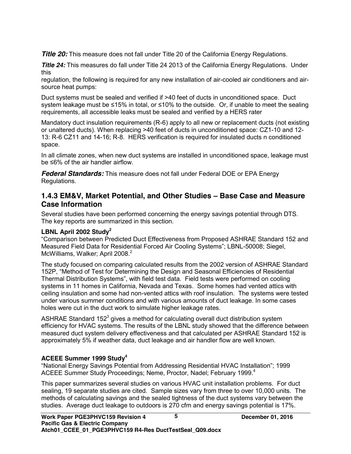**Title 20:** This measure does not fall under Title 20 of the California Energy Regulations.

**Title 24:** This measures do fall under Title 24 2013 of the California Energy Regulations. Under this

regulation, the following is required for any new installation of air-cooled air conditioners and airsource heat pumps:

Duct systems must be sealed and verified if >40 feet of ducts in unconditioned space. Duct system leakage must be ≤15% in total, or ≤10% to the outside. Or, if unable to meet the sealing requirements, all accessible leaks must be sealed and verified by a HERS rater

Mandatory duct insulation requirements (R-6) apply to all new or replacement ducts (not existing or unaltered ducts). When replacing >40 feet of ducts in unconditioned space: CZ1-10 and 12- 13: R-6 CZ11 and 14-16; R-8. HERS verification is required for insulated ducts n conditioned space.

In all climate zones, when new duct systems are installed in unconditioned space, leakage must be ≤6% of the air handler airflow.

*Federal Standards:* This measure does not fall under Federal DOE or EPA Energy Regulations.

## **1.4.3 EM&V, Market Potential, and Other Studies – Base Case and Measure Case Information**

Several studies have been performed concerning the energy savings potential through DTS. The key reports are summarized in this section.

#### **LBNL April 2002 Study<sup>2</sup>**

"Comparison between Predicted Duct Effectiveness from Proposed ASHRAE Standard 152 and Measured Field Data for Residential Forced Air Cooling Systems"; LBNL-50008; Siegel, McWilliams, Walker; April 2008.<sup>2</sup>

The study focused on comparing calculated results from the 2002 version of ASHRAE Standard 152P, "Method of Test for Determining the Design and Seasonal Efficiencies of Residential Thermal Distribution Systems", with field test data. Field tests were performed on cooling systems in 11 homes in California, Nevada and Texas. Some homes had vented attics with ceiling insulation and some had non-vented attics with roof insulation. The systems were tested under various summer conditions and with various amounts of duct leakage. In some cases holes were cut in the duct work to simulate higher leakage rates.

ASHRAE Standard 152 $3$  gives a method for calculating overall duct distribution system efficiency for HVAC systems. The results of the LBNL study showed that the difference between measured duct system delivery effectiveness and that calculated per ASHRAE Standard 152 is approximately 5% if weather data, duct leakage and air handler flow are well known.

#### **ACEEE Summer 1999 Study4**

"National Energy Savings Potential from Addressing Residential HVAC Installation"; 1999 ACEEE Summer Study Proceedings; Neme, Proctor, Nadel; February 1999.<sup>4</sup>

This paper summarizes several studies on various HVAC unit installation problems. For duct sealing, 19 separate studies are cited. Sample sizes vary from three to over 10,000 units. The methods of calculating savings and the sealed tightness of the duct systems vary between the studies. Average duct leakage to outdoors is 270 cfm and energy savings potential is 17%.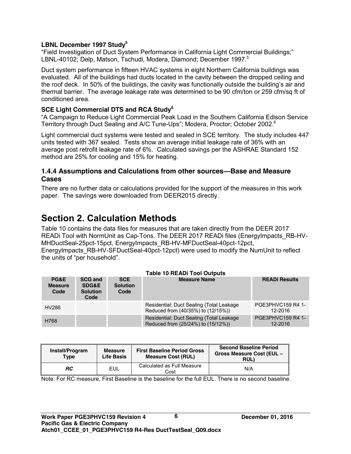#### **LBNL December 1997 Study5**

"Field Investigation of Duct System Performance in California Light Commercial Buildings;" LBNL-40102; Delp, Matson, Tschudi, Modera, Diamond; December 1997.<sup>5</sup>

Duct system performance in fifteen HVAC systems in eight Northern California buildings was evaluated. All of the buildings had ducts located in the cavity between the dropped ceiling and the roof deck. In 50% of the buildings, the cavity was functionally outside the building's air and thermal barrier. The average leakage rate was determined to be 90 cfm/ton or 259 cfm/sq ft of conditioned area.

#### **SCE Light Commercial DTS and RCA Study6**

"A Campaign to Reduce Light Commercial Peak Load in the Southern California Edison Service Territory through Duct Sealing and A/C Tune-Ups"; Modera, Proctor; October 2002.<sup>6</sup>

Light commercial duct systems were tested and sealed in SCE territory. The study includes 447 units tested with 367 sealed. Tests show an average initial leakage rate of 36% with an average post retrofit leakage rate of 6%. Calculated savings per the ASHRAE Standard 152 method are 25% for cooling and 15% for heating.

#### **1.4.4 Assumptions and Calculations from other sources—Base and Measure Cases**

There are no further data or calculations provided for the support of the measures in this work paper. The savings were downloaded from DEER2015 directly.

## **Section 2. Calculation Methods**

Table 10 contains the data files for measures that are taken directly from the DEER 2017 READi Tool with NormUnit as Cap-Tons. The DEER 2017 READi files (EnergyImpacts, RB-HV-MHDuctSeal-25pct-15pct, EnergyImpacts\_RB-HV-MFDuctSeal-40pct-12pct, EnergyImpacts RB-HV-SFDuctSeal-40pct-12pct) were used to modify the NumUnit to reflect the units of "per household".

| PG&E<br><b>Measure</b><br>Code | <b>SCG and</b><br><b>SDG&amp;E</b><br><b>Solution</b><br>Code | <b>SCE</b><br><b>Solution</b><br>Code | <b>Measure Name</b>                                                             | <b>READi Results</b>                |
|--------------------------------|---------------------------------------------------------------|---------------------------------------|---------------------------------------------------------------------------------|-------------------------------------|
| HV286                          |                                                               |                                       | Residential: Duct Sealing (Total Leakage)<br>Reduced from (40/35%) to (12/15%)) | <b>PGE3PHVC159 R4 1-</b><br>12-2016 |
| H768                           |                                                               |                                       | Residential: Duct Sealing (Total Leakage<br>Reduced from (25/24%) to (15/12%))  | PGE3PHVC159 R4 1-<br>12-2016        |

| Install/Program<br><b>Type</b> | <b>Measure</b><br><b>Life Basis</b> | <b>First Baseline Period Gross</b><br><b>Measure Cost (RUL)</b> | <b>Second Baseline Period</b><br>Gross Measure Cost (EUL -<br><b>RUL)</b> |
|--------------------------------|-------------------------------------|-----------------------------------------------------------------|---------------------------------------------------------------------------|
| RC                             | EUL                                 | Calculated as Full Measure<br>Cost                              | N/A                                                                       |

Note: For RC measure, First Baseline is the baseline for the full EUL. There is no second baseline.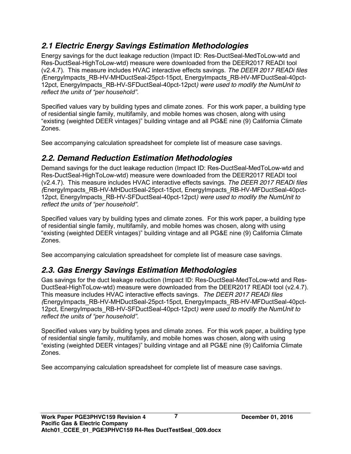## *2.1 Electric Energy Savings Estimation Methodologies*

Energy savings for the duct leakage reduction (Impact ID: Res-DuctSeal-MedToLow-wtd and Res-DuctSeal-HighToLow-wtd) measure were downloaded from the DEER2017 READI tool (v2.4.7). This measure includes HVAC interactive effects savings. *The DEER 2017 READi files (*EnergyImpacts\_RB-HV-MHDuctSeal-25pct-15pct*,* EnergyImpacts\_RB-HV-MFDuctSeal-40pct-12pct*,* EnergyImpacts\_RB-HV-SFDuctSeal-40pct-12pct*) were used to modify the NumUnit to reflect the units of "per household".*

Specified values vary by building types and climate zones. For this work paper, a building type of residential single family, multifamily, and mobile homes was chosen, along with using "existing (weighted DEER vintages)" building vintage and all PG&E nine (9) California Climate Zones.

See accompanying calculation spreadsheet for complete list of measure case savings.

## *2.2. Demand Reduction Estimation Methodologies*

Demand savings for the duct leakage reduction (Impact ID: Res-DuctSeal-MedToLow-wtd and Res-DuctSeal-HighToLow-wtd) measure were downloaded from the DEER2017 READI tool (v2.4.7). This measure includes HVAC interactive effects savings. *The DEER 2017 READi files (*EnergyImpacts\_RB-HV-MHDuctSeal-25pct-15pct*,* EnergyImpacts\_RB-HV-MFDuctSeal-40pct-12pct*,* EnergyImpacts\_RB-HV-SFDuctSeal-40pct-12pct*) were used to modify the NumUnit to reflect the units of "per household".*

Specified values vary by building types and climate zones. For this work paper, a building type of residential single family, multifamily, and mobile homes was chosen, along with using "existing (weighted DEER vintages)" building vintage and all PG&E nine (9) California Climate Zones.

See accompanying calculation spreadsheet for complete list of measure case savings.

## *2.3. Gas Energy Savings Estimation Methodologies*

Gas savings for the duct leakage reduction (Impact ID: Res-DuctSeal-MedToLow-wtd and Res-DuctSeal-HighToLow-wtd) measure were downloaded from the DEER2017 READI tool (v2.4.7). This measure includes HVAC interactive effects savings. *The DEER 2017 READi files (*EnergyImpacts\_RB-HV-MHDuctSeal-25pct-15pct*,* EnergyImpacts\_RB-HV-MFDuctSeal-40pct-12pct*,* EnergyImpacts\_RB-HV-SFDuctSeal-40pct-12pct*) were used to modify the NumUnit to reflect the units of "per household".*

Specified values vary by building types and climate zones. For this work paper, a building type of residential single family, multifamily, and mobile homes was chosen, along with using "existing (weighted DEER vintages)" building vintage and all PG&E nine (9) California Climate Zones.

See accompanying calculation spreadsheet for complete list of measure case savings.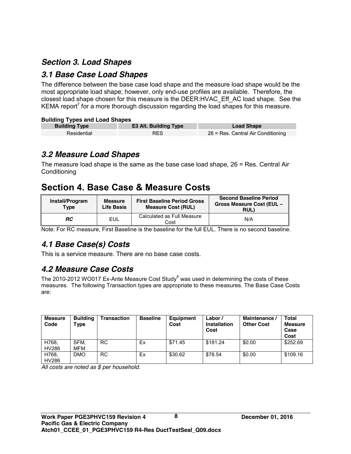## *Section 3. Load Shapes*

## *3.1 Base Case Load Shapes*

The difference between the base case load shape and the measure load shape would be the most appropriate load shape; however, only end-use profiles are available. Therefore, the closest load shape chosen for this measure is the DEER:HVAC\_Eff\_AC load shape. See the KEMA report<sup>7</sup> for a more thorough discussion regarding the load shapes for this measure.

#### **Building Types and Load Shapes**

| <b>Building Type</b> | <b>E3 Alt. Building Type</b> | <b>Load Shape</b>                  |
|----------------------|------------------------------|------------------------------------|
| Residential          | <b>RES</b>                   | 26 = Res. Central Air Conditioning |

## *3.2 Measure Load Shapes*

The measure load shape is the same as the base case load shape, 26 = Res. Central Air **Conditioning** 

## **Section 4. Base Case & Measure Costs**

| Install/Program<br><b>Type</b> | Measure<br><b>Life Basis</b> | <b>First Baseline Period Gross</b><br><b>Measure Cost (RUL)</b> | <b>Second Baseline Period</b><br><b>Gross Measure Cost (EUL -</b><br><b>RUL)</b> |
|--------------------------------|------------------------------|-----------------------------------------------------------------|----------------------------------------------------------------------------------|
| RC                             | EUL                          | Calculated as Full Measure<br>Cost                              | N/A                                                                              |

Note: For RC measure, First Baseline is the baseline for the full EUL. There is no second baseline.

## *4.1 Base Case(s) Costs*

This is a service measure. There are no base case costs.

## *4.2 Measure Case Costs*

The 2010-2012 WO017 Ex-Ante Measure Cost Study $^8$  was used in determining the costs of these measures. The following Transaction types are appropriate to these measures. The Base Case Costs are:

| <b>Measure</b><br>Code | <b>Building</b><br>Type | <b>Transaction</b> | <b>Baseline</b> | Equipment<br>Cost | Labor/<br><b>Installation</b><br>Cost | Maintenance /<br><b>Other Cost</b> | <b>Total</b><br><b>Measure</b><br>Case<br>Cost |
|------------------------|-------------------------|--------------------|-----------------|-------------------|---------------------------------------|------------------------------------|------------------------------------------------|
| H768.<br><b>HV286</b>  | SFM.<br>MFM             | <b>RC</b>          | Ex              | \$71.45           | \$181.24                              | \$0.00                             | \$252.69                                       |
| H768.<br><b>HV286</b>  | <b>DMO</b>              | <b>RC</b>          | Ex              | \$30.62           | \$78.54                               | \$0.00                             | \$109.16                                       |

*All costs are noted as \$ per household.*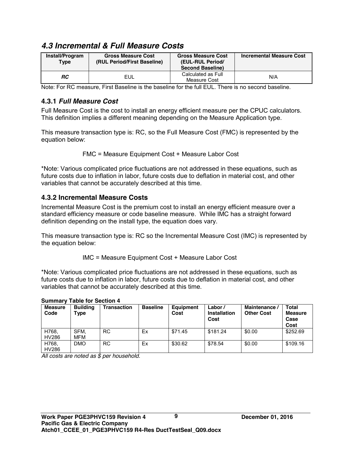## *4.3 Incremental & Full Measure Costs*

| Install/Program<br><b>Type</b> | <b>Gross Measure Cost</b><br>(RUL Period/First Baseline) | <b>Gross Measure Cost</b><br>(EUL-RUL Period/<br><b>Second Baseline)</b> | <b>Incremental Measure Cost</b> |
|--------------------------------|----------------------------------------------------------|--------------------------------------------------------------------------|---------------------------------|
| <b>RC</b>                      | EUL                                                      | Calculated as Full<br>Measure Cost                                       | N/A                             |

Note: For RC measure, First Baseline is the baseline for the full EUL. There is no second baseline.

## **4.3.1** *Full Measure Cost*

Full Measure Cost is the cost to install an energy efficient measure per the CPUC calculators. This definition implies a different meaning depending on the Measure Application type.

This measure transaction type is: RC, so the Full Measure Cost (FMC) is represented by the equation below:

FMC = Measure Equipment Cost + Measure Labor Cost

\*Note: Various complicated price fluctuations are not addressed in these equations, such as future costs due to inflation in labor, future costs due to deflation in material cost, and other variables that cannot be accurately described at this time.

#### **4.3.2 Incremental Measure Costs**

Incremental Measure Cost is the premium cost to install an energy efficient measure over a standard efficiency measure or code baseline measure. While IMC has a straight forward definition depending on the install type, the equation does vary.

This measure transaction type is: RC so the Incremental Measure Cost (IMC) is represented by the equation below:

IMC = Measure Equipment Cost + Measure Labor Cost

\*Note: Various complicated price fluctuations are not addressed in these equations, such as future costs due to inflation in labor, future costs due to deflation in material cost, and other variables that cannot be accurately described at this time.

| <b>Summary Table for Section 4</b> |                         |                    |                 |                   |                                |                                    |                                 |  |  |  |
|------------------------------------|-------------------------|--------------------|-----------------|-------------------|--------------------------------|------------------------------------|---------------------------------|--|--|--|
| <b>Measure</b><br>Code             | <b>Building</b><br>Type | <b>Transaction</b> | <b>Baseline</b> | Equipment<br>Cost | Labor/<br>Installation<br>Cost | Maintenance /<br><b>Other Cost</b> | Total<br>Measur<br>Case<br>Cost |  |  |  |
| H768,<br><b>HV286</b>              | SFM.<br><b>MFM</b>      | <b>RC</b>          | Ex              | \$71.45           | \$181.24                       | \$0.00                             | \$252.69                        |  |  |  |
| H768,<br>HV286                     | <b>DMO</b>              | <b>RC</b>          | Ex              | \$30.62           | \$78.54                        | \$0.00                             | \$109.16                        |  |  |  |

#### **Summary Table for Section 4**

*All costs are noted as \$ per household.*

**Total Measure Case Cost**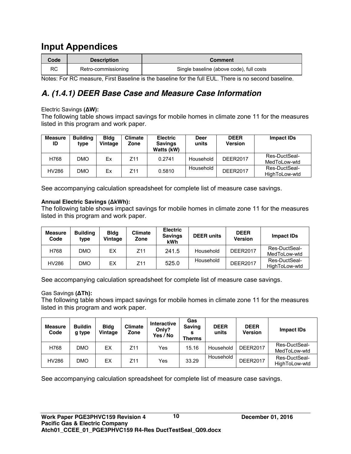## **Input Appendices**

| Code | <b>Description</b>  | <b>Comment</b>                           |
|------|---------------------|------------------------------------------|
| RC   | Retro-commissioning | Single baseline (above code), full costs |

Notes: For RC measure, First Baseline is the baseline for the full EUL. There is no second baseline.

## *A. (1.4.1) DEER Base Case and Measure Case Information*

#### Electric Savings **(ΔW):**

The following table shows impact savings for mobile homes in climate zone 11 for the measures listed in this program and work paper.

| <b>Measure</b><br>ID | <b>Building</b><br>type | <b>Bldg</b><br>Vintage | <b>Climate</b><br>Zone | <b>Electric</b><br><b>Savings</b><br>Watts (kW) | Deer<br>units | <b>DEER</b><br><b>Version</b> | Impact IDs                     |
|----------------------|-------------------------|------------------------|------------------------|-------------------------------------------------|---------------|-------------------------------|--------------------------------|
| H768                 | DMO                     | Ex                     | Z11                    | 0.2741                                          | Household     | DFFR2017                      | Res-DuctSeal-<br>MedToLow-wtd  |
| HV286                | DMO                     | Ex                     | 711                    | 0.5810                                          | Household     | <b>DEER2017</b>               | Res-DuctSeal-<br>HighToLow-wtd |

See accompanying calculation spreadsheet for complete list of measure case savings.

#### **Annual Electric Savings (ΔkWh):**

The following table shows impact savings for mobile homes in climate zone 11 for the measures listed in this program and work paper.

| <b>Measure</b><br>Code | <b>Building</b><br>type | <b>Bldg</b><br>Vintage | Climate<br>Zone | <b>Electric</b><br><b>Savings</b><br>kWh | <b>DEER units</b> | <b>DEER</b><br><b>Version</b> | Impact IDs                     |
|------------------------|-------------------------|------------------------|-----------------|------------------------------------------|-------------------|-------------------------------|--------------------------------|
| H768                   | DMO                     | ЕX                     | Z11             | 241.5                                    | Household         | <b>DEER2017</b>               | Res-DuctSeal-<br>MedToLow-wtd  |
| HV286                  | DMO                     | EX                     | Z <sub>11</sub> | 525.0                                    | Household         | <b>DEER2017</b>               | Res-DuctSeal-<br>HighToLow-wtd |

See accompanying calculation spreadsheet for complete list of measure case savings.

#### Gas Savings **(ΔTh):**

The following table shows impact savings for mobile homes in climate zone 11 for the measures listed in this program and work paper.

| <b>Measure</b><br>Code | <b>Buildin</b><br>g type | <b>Bldg</b><br>Vintage | <b>Climate</b><br>Zone | <b>Interactive</b><br>Only?<br>Yes / No | Gas<br><b>Saving</b><br>s<br><b>Therms</b> | <b>DEER</b><br>units | <b>DEER</b><br><b>Version</b> | Impact IDs                     |
|------------------------|--------------------------|------------------------|------------------------|-----------------------------------------|--------------------------------------------|----------------------|-------------------------------|--------------------------------|
| H768                   | DMO                      | ЕX                     | Z11                    | Yes                                     | 15.16                                      | Household            | <b>DEER2017</b>               | Res-DuctSeal-<br>MedToLow-wtd  |
| HV286                  | DMO                      | ЕX                     | Z11                    | Yes                                     | 33.29                                      | Household            | <b>DEER2017</b>               | Res-DuctSeal-<br>HighToLow-wtd |

See accompanying calculation spreadsheet for complete list of measure case savings.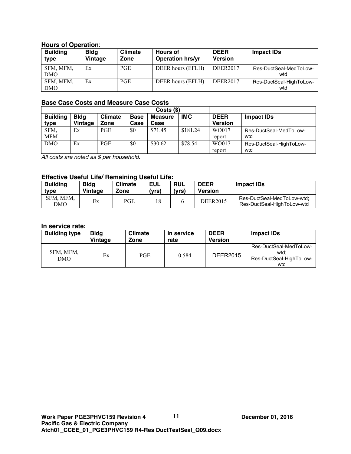#### **Hours of Operation**:

| <b>Building</b><br>type | <b>Bldg</b><br>Vintage | <b>Climate</b><br>Zone | <b>Hours of</b><br><b>Operation hrs/yr</b> | <b>DEER</b><br><b>Version</b> | Impact IDs                     |
|-------------------------|------------------------|------------------------|--------------------------------------------|-------------------------------|--------------------------------|
| SFM, MFM,<br><b>DMO</b> | Ex                     | <b>PGE</b>             | DEER hours (EFLH)                          | <b>DEER2017</b>               | Res-DuctSeal-MedToLow-<br>wtd  |
| SFM, MFM,<br><b>DMO</b> | Ex                     | <b>PGE</b>             | DEER hours (EFLH)                          | <b>DEER2017</b>               | Res-DuctSeal-HighToLow-<br>wtd |

#### **Base Case Costs and Measure Case Costs**

|                 |             |                | $Costs$ (\$) |                |            |                |                         |
|-----------------|-------------|----------------|--------------|----------------|------------|----------------|-------------------------|
| <b>Building</b> | <b>Blda</b> | <b>Climate</b> | <b>Base</b>  | <b>Measure</b> | <b>IMC</b> | <b>DEER</b>    | <b>Impact IDs</b>       |
| type            | Vintage     | Zone           | Case         | Case           |            | <b>Version</b> |                         |
| SFM,            | Еx          | PGE.           | \$0          | \$71.45        | \$181.24   | WO017          | Res-DuctSeal-MedToLow-  |
| <b>MFM</b>      |             |                |              |                |            | report         | wtd                     |
| <b>DMO</b>      | Ex          | <b>PGE</b>     | \$0          | \$30.62        | \$78.54    | WO017          | Res-DuctSeal-HighToLow- |
|                 |             |                |              |                |            | report         | wtd                     |

*All costs are noted as \$ per household.*

#### **Effective Useful Life/ Remaining Useful Life:**

| <b>Building</b>  | <b>Bldg</b> | <b>Climate</b> | EUL   | <b>RUL</b> | <b>DEER</b> | <b>Impact IDs</b>                                        |
|------------------|-------------|----------------|-------|------------|-------------|----------------------------------------------------------|
| type             | Vintage     | Zone           | (vrs) | (vrs)      | Version     |                                                          |
| SFM, MFM,<br>DMO | Ex          | PGE            | 18    |            | DEER2015    | Res-DuctSeal-MedToLow-wtd:<br>Res-DuctSeal-HighToLow-wtd |

#### **In service rate:**

| <b>Building type</b> | <b>Bldg</b><br>Vintage | <b>Climate</b><br>Zone | In service<br>rate | <b>DEER</b><br>Version | <b>Impact IDs</b>                                                |
|----------------------|------------------------|------------------------|--------------------|------------------------|------------------------------------------------------------------|
| SFM, MFM,<br>DMO     | Ex                     | <b>PGE</b>             | 0.584              | <b>DEER2015</b>        | Res-DuctSeal-MedToLow-<br>wtd:<br>Res-DuctSeal-HighToLow-<br>wtd |